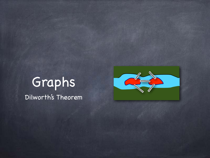#### Graphs Dilworth's Theorem

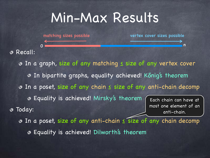#### Min-Max Results

0 **now the contract of the contract of the contract of the contract of the contract of the contract of the contract of the contract of the contract of the contract of the contract of the contract of the contract of the con** 

matching sizes possible vertex cover sizes possible

Recall:

In a graph, size of any matching ≤ size of any vertex cover In bipartite graphs, equality achieved! Kőnig's theorem In a poset, size of any chain ≤ size of any anti-chain decomp Equality is achieved! Mirsky's theorem Today: In a poset, size of any anti-chain ≤ size of any chain decomp Each chain can have at most one element of an anti-chain.

Equality is achieved! Dilworth's theorem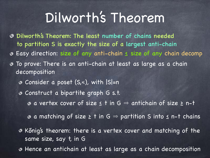Dilworth's Theorem: The least number of chains needed to partition S is exactly the size of a largest anti-chain Easy direction: size of any anti-chain ≤ size of any chain decomp To prove: There is an anti-chain at least as large as a chain decomposition

- Consider a poset (S,≼), with |S|=n
- Construct a bipartite graph G s.t.

 $\bullet$  a vertex cover of size  $\leq$  t in  $G \Rightarrow$  antichain of size  $\geq$  n-t

 $\bullet$  a matching of size  $\geq$  t in G  $\Rightarrow$  partition S into  $\leq$  n-t chains

Kőnig's theorem: there is a vertex cover and matching of the same size, say t, in G

Hence an antichain at least as large as a chain decomposition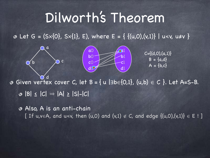a1

b1

 $C=\{(d,0),(a,1)\}$ 

 $B = \{a,d\}$ 

 $A = \{b, c\}$ 

c1

d1

**∂** Let G =  $(S \times \{0\}, S \times \{1\}, E)$ , where E =  $\{ \{(u, 0), (v, 1)\} | u \le v, u \ne v \}$ 

a0

a

b  $\overline{)}$  c

b0

c0

 $d\mathbf{C}$ 

**Given vertex cover C, let B = { u |**  $\exists b \in \{0, 1\}$ **, (u,b)**  $\in C$  **}. Let A=S-B.**  $\odot$  |B|  $\leq$  |C|  $\Rightarrow$  |A|  $\geq$  |S|-|C| d

Also, A is an anti-chain [ If u,v $\in$ A, and u $\le$ v, then (u,0) and (v,1)  $\notin$  C, and edge {(u,0),(v,1)}  $\in$  E!]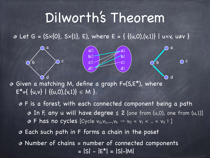a1

 $\overline{\mathbf{a}}$ 

d

 $\bigcap$  c

b1

c1

d1

**Ø** Let G =  $(S \times \{0\}, S \times \{1\}, E)$ , where E =  $\{ \{(u, 0), (v, 1)\} | u \le v, u \ne v \}$ 

Given a matching M, define a graph F=(S,E\*), where  $E^*=\{u,v\} | \{(u,0),(v,1)\} \in M \}$ . d

a0

a

b  $\overline{)}$  c

b0

**c**C

d0

- F is a forest, with each connected component being a path  $\odot$  In F, any u will have degree  $\leq$  2 [one from (u,0), one from (u,1)]  $\bullet$  F has no cycles [Cycle  $v_0,v_1,...,v_k \Rightarrow v_0 \le v_1 \le ... \le v_0$ !]
- Each such path in F forms a chain in the poset
- Number of chains = number of connected components  $= |S| - |E^*| = |S| - |M|$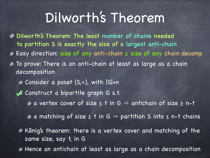Dilworth's Theorem: The least number of chains needed to partition S is exactly the size of a largest anti-chain Easy direction: size of any anti-chain ≤ size of any chain decomp To prove: There is an anti-chain at least as large as a chain decomposition Consider a poset (S,≼), with |S|=n Construct a bipartite graph G s.t. **✓** $\bullet$  a vertex cover of size  $\leq$  t in G  $\Rightarrow$  antichain of size  $\geq$  n-t

 $\bullet$  a matching of size  $\geq$  t in G  $\Rightarrow$  partition S into  $\leq$  n-t chains

Kőnig's theorem: there is a vertex cover and matching of the same size, say t, in G

Hence an antichain at least as large as a chain decomposition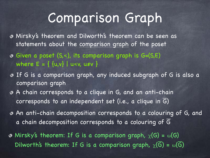### Comparison Graph

- Mirsky's theorem and Dilworth's theorem can be seen as statements about the comparison graph of the poset
- Given a poset (S,≼), its comparison graph is G=(S,E) where  $E = \{ \{u,v\} \mid u \le v, u \ne v \}$
- If G is a comparison graph, any induced subgraph of G is also a comparison graph
- A chain corresponds to a clique in G, and an anti-chain corresponds to an independent set (i.e., a clique in  $\overline{G}$ )
- An anti-chain decomposition corresponds to a colouring of G, and a chain decomposition corresponds to a colouring of G
- $\odot$  Mirsky's theorem: If G is a comparison graph,  $\chi(G) = \omega(G)$ Dilworth's theorem: If G is a comparison graph,  $\chi(\overline{G}) = \omega(\overline{G})$